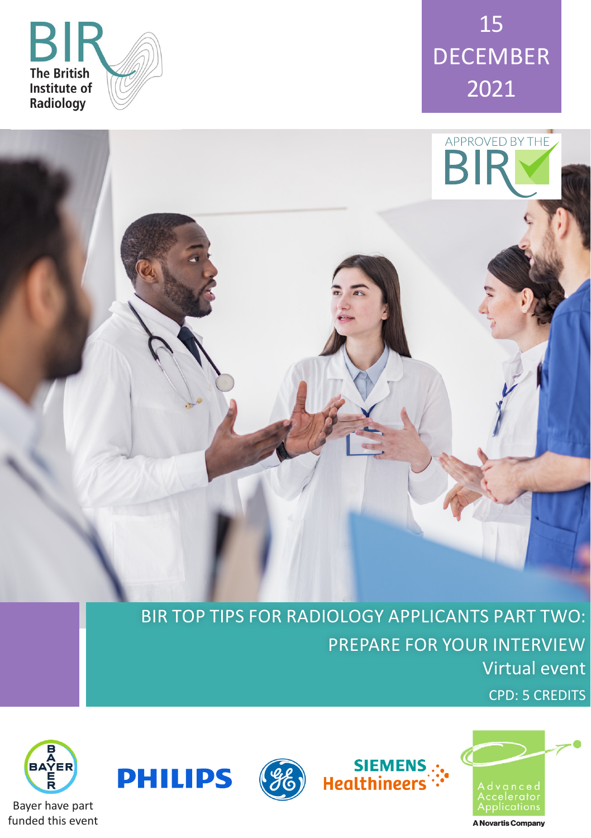





BIR TOP TIPS FOR RADIOLOGY APPLICANTS PART TWO: PREPARE FOR YOUR INTERVIEW Virtual event

siEMENS<br>":-<br>Healthineers











A Novartis Company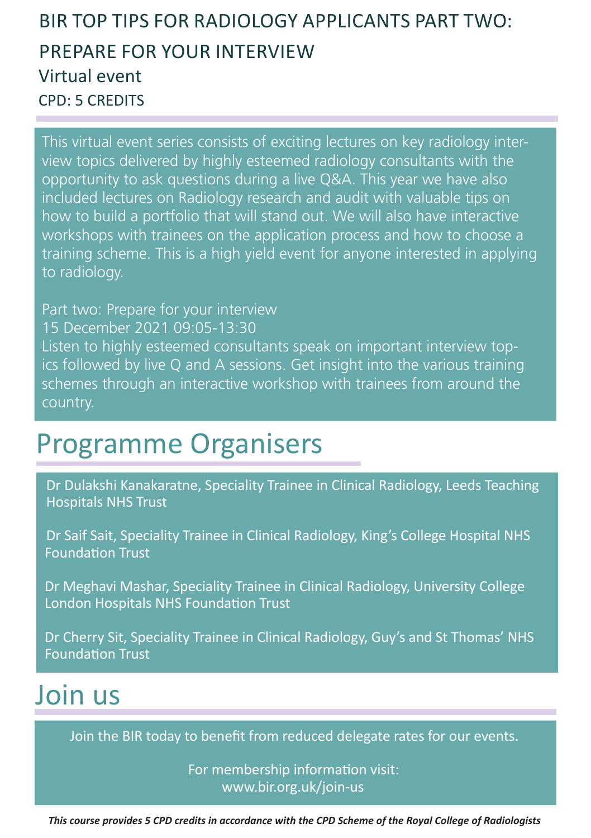### BIR TOP TIPS FOR RADIOLOGY APPLICANTS PART TWO: PREPARE FOR YOUR INTERVIEW Virtual event CPD: 5 CREDITS

This virtual event series consists of exciting lectures on key radiology interview topics delivered by highly esteemed radiology consultants with the opportunity to ask questions during a live Q&A. This year we have also included lectures on Radiology research and audit with valuable tips on how to build a portfolio that will stand out. We will also have interactive workshops with trainees on the application process and how to choose a training scheme. This is a high yield event for anyone interested in applying to radiology.

Part two: Prepare for your interview 15 December 2021 09:05-13:30 Listen to highly esteemed consultants speak on important interview topics followed by live Q and A sessions. Get insight into the various training schemes through an interactive workshop with trainees from around the country.

## Programme Organisers

Dr Dulakshi Kanakaratne, Speciality Trainee in Clinical Radiology, Leeds Teaching Hospitals NHS Trust

Dr Saif Sait, Speciality Trainee in Clinical Radiology, King's College Hospital NHS Foundation Trust

Dr Meghavi Mashar, Speciality Trainee in Clinical Radiology, University College London Hospitals NHS Foundation Trust

Dr Cherry Sit, Speciality Trainee in Clinical Radiology, Guy's and St Thomas' NHS Foundation Trust

# Join us

Join the BIR today to benefit from reduced delegate rates for our events.

For membership information visit: www.bir.org.uk/join-us

*This course provides 5 CPD credits in accordance with the CPD Scheme of the Royal College of Radiologists*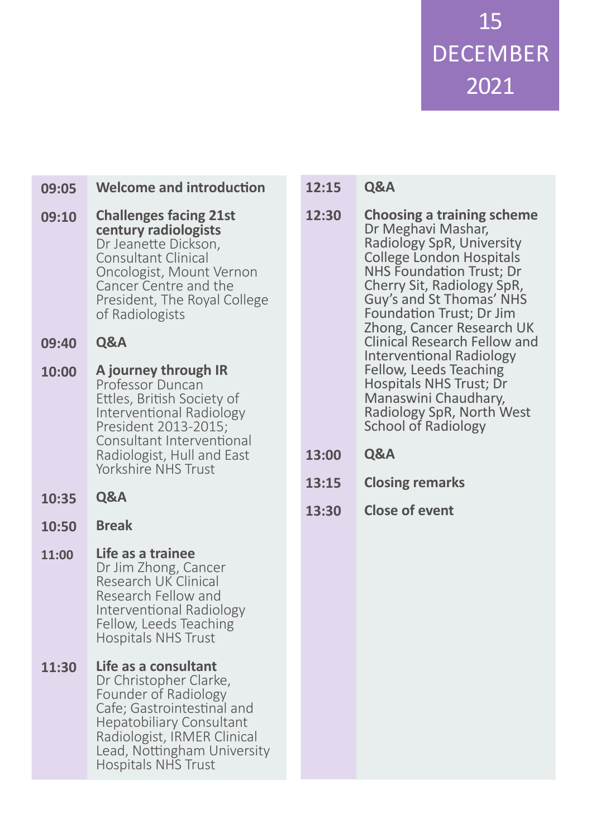15 DECEMBER 2021

**Welcome and introduction Challenges facing 21st century radiologists** Dr Jeanette Dickson, Consultant Clinical Oncologist, Mount Vernon Cancer Centre and the President, The Royal College of Radiologists **Q&A A journey through IR** Professor Duncan Ettles, British Society of Interventional Radiology President 2013-2015; Consultant Interventional Radiologist, Hull and East Yorkshire NHS Trust **Q&A Break Life as a trainee**  Dr Jim Zhong, Cancer Research UK Clinical Research Fellow and Interventional Radiology Fellow, Leeds Teaching Hospitals NHS Trust **Life as a consultant** Dr Christopher Clarke, Founder of Radiology Cafe; Gastrointestinal and Hepatobiliary Consultant Radiologist, IRMER Clinical Lead, Nottingham University **09:05 09:10 09:40 10:00 10:35 10:50 11:00 11:30**

Hospitals NHS Trust

**Q&A 12:15**

- **Choosing a training scheme** Dr Meghavi Mashar, Radiology SpR, University College London Hospitals NHS Foundation Trust; Dr Cherry Sit, Radiology SpR, Guy's and St Thomas' NHS Foundation Trust; Dr Jim Zhong, Cancer Research UK Clinical Research Fellow and Interventional Radiology Fellow, Leeds Teaching Hospitals NHS Trust; Dr Manaswini Chaudhary, Radiology SpR, North West School of Radiology **12:30**
- **Q&A 13:00**
- **Closing remarks 13:15**
- **Close of event 13:30**